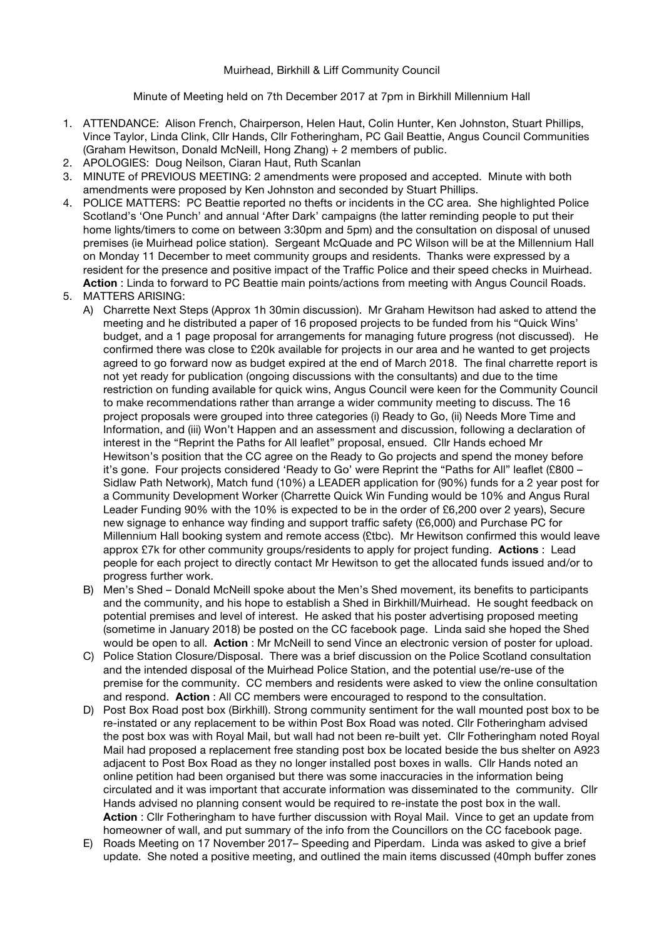## Muirhead, Birkhill & Liff Community Council

Minute of Meeting held on 7th December 2017 at 7pm in Birkhill Millennium Hall

- 1. ATTENDANCE: Alison French, Chairperson, Helen Haut, Colin Hunter, Ken Johnston, Stuart Phillips, Vince Taylor, Linda Clink, Cllr Hands, Cllr Fotheringham, PC Gail Beattie, Angus Council Communities (Graham Hewitson, Donald McNeill, Hong Zhang) + 2 members of public.
- 2. APOLOGIES: Doug Neilson, Ciaran Haut, Ruth Scanlan
- 3. MINUTE of PREVIOUS MEETING: 2 amendments were proposed and accepted. Minute with both amendments were proposed by Ken Johnston and seconded by Stuart Phillips.
- 4. POLICE MATTERS: PC Beattie reported no thefts or incidents in the CC area. She highlighted Police Scotland's 'One Punch' and annual 'After Dark' campaigns (the latter reminding people to put their home lights/timers to come on between 3:30pm and 5pm) and the consultation on disposal of unused premises (ie Muirhead police station). Sergeant McQuade and PC Wilson will be at the Millennium Hall on Monday 11 December to meet community groups and residents. Thanks were expressed by a resident for the presence and positive impact of the Traffic Police and their speed checks in Muirhead. **Action** : Linda to forward to PC Beattie main points/actions from meeting with Angus Council Roads.
- 5. MATTERS ARISING:
	- A) Charrette Next Steps (Approx 1h 30min discussion). Mr Graham Hewitson had asked to attend the meeting and he distributed a paper of 16 proposed projects to be funded from his "Quick Wins' budget, and a 1 page proposal for arrangements for managing future progress (not discussed). He confirmed there was close to £20k available for projects in our area and he wanted to get projects agreed to go forward now as budget expired at the end of March 2018. The final charrette report is not yet ready for publication (ongoing discussions with the consultants) and due to the time restriction on funding available for quick wins, Angus Council were keen for the Community Council to make recommendations rather than arrange a wider community meeting to discuss. The 16 project proposals were grouped into three categories (i) Ready to Go, (ii) Needs More Time and Information, and (iii) Won't Happen and an assessment and discussion, following a declaration of interest in the "Reprint the Paths for All leaflet" proposal, ensued. Cllr Hands echoed Mr Hewitson's position that the CC agree on the Ready to Go projects and spend the money before it's gone. Four projects considered 'Ready to Go' were Reprint the "Paths for All" leaflet (£800 – Sidlaw Path Network), Match fund (10%) a LEADER application for (90%) funds for a 2 year post for a Community Development Worker (Charrette Quick Win Funding would be 10% and Angus Rural Leader Funding 90% with the 10% is expected to be in the order of £6,200 over 2 years), Secure new signage to enhance way finding and support traffic safety (£6,000) and Purchase PC for Millennium Hall booking system and remote access (£tbc). Mr Hewitson confirmed this would leave approx £7k for other community groups/residents to apply for project funding. **Actions** : Lead people for each project to directly contact Mr Hewitson to get the allocated funds issued and/or to progress further work.
	- B) Men's Shed Donald McNeill spoke about the Men's Shed movement, its benefits to participants and the community, and his hope to establish a Shed in Birkhill/Muirhead. He sought feedback on potential premises and level of interest. He asked that his poster advertising proposed meeting (sometime in January 2018) be posted on the CC facebook page. Linda said she hoped the Shed would be open to all. **Action** : Mr McNeill to send Vince an electronic version of poster for upload.
	- C) Police Station Closure/Disposal. There was a brief discussion on the Police Scotland consultation and the intended disposal of the Muirhead Police Station, and the potential use/re-use of the premise for the community. CC members and residents were asked to view the online consultation and respond. **Action** : All CC members were encouraged to respond to the consultation.
	- D) Post Box Road post box (Birkhill). Strong community sentiment for the wall mounted post box to be re-instated or any replacement to be within Post Box Road was noted. Cllr Fotheringham advised the post box was with Royal Mail, but wall had not been re-built yet. Cllr Fotheringham noted Royal Mail had proposed a replacement free standing post box be located beside the bus shelter on A923 adjacent to Post Box Road as they no longer installed post boxes in walls. Cllr Hands noted an online petition had been organised but there was some inaccuracies in the information being circulated and it was important that accurate information was disseminated to the community. Cllr Hands advised no planning consent would be required to re-instate the post box in the wall. **Action** : Cllr Fotheringham to have further discussion with Royal Mail. Vince to get an update from homeowner of wall, and put summary of the info from the Councillors on the CC facebook page.
	- E) Roads Meeting on 17 November 2017– Speeding and Piperdam. Linda was asked to give a brief update. She noted a positive meeting, and outlined the main items discussed (40mph buffer zones